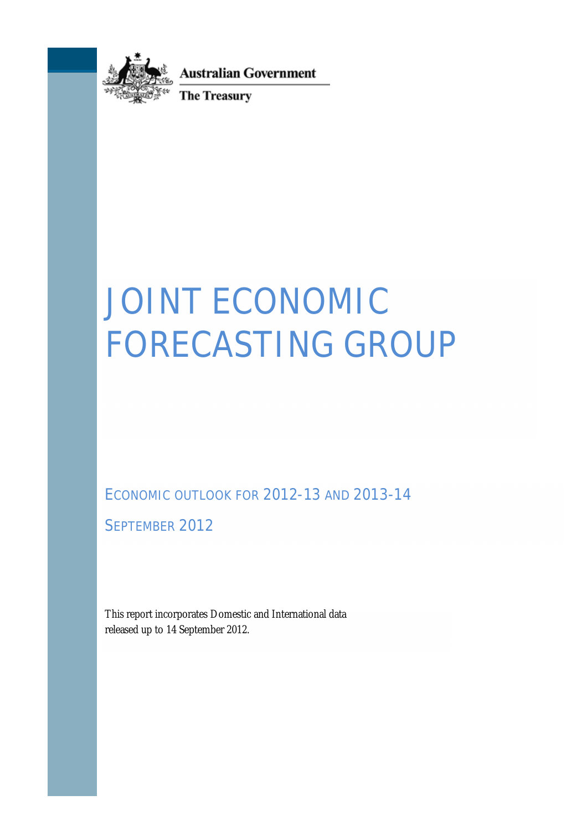

**Australian Government** 

**The Treasury** 

# JOINT ECONOMIC FORECASTING GROUP

ECONOMIC OUTLOOK FOR 2012-13 AND 2013-14

SEPTEMBER 2012

This report incorporates Domestic and International data released up to 14 September 2012.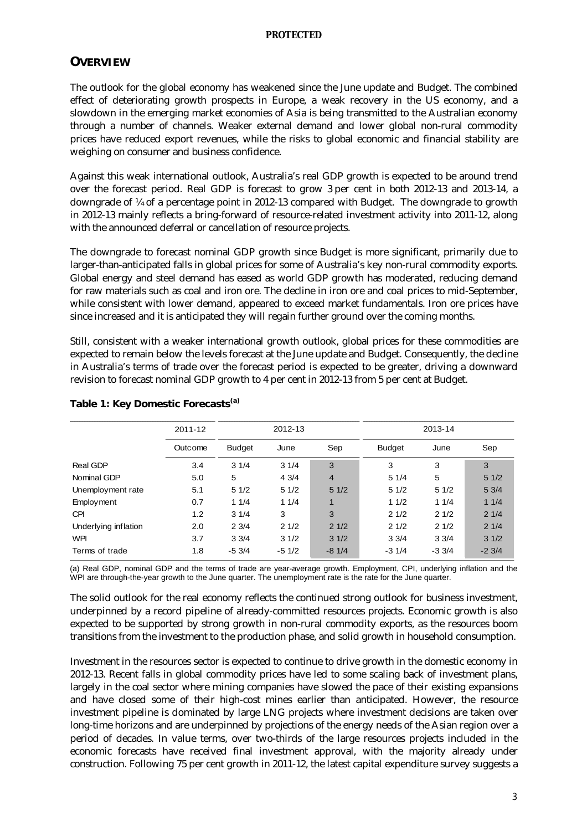# **OVERVIEW**

The outlook for the global economy has weakened since the June update and Budget. The combined effect of deteriorating growth prospects in Europe, a weak recovery in the US economy, and a slowdown in the emerging market economies of Asia is being transmitted to the Australian economy through a number of channels. Weaker external demand and lower global non-rural commodity prices have reduced export revenues, while the risks to global economic and financial stability are weighing on consumer and business confidence.

Against this weak international outlook, Australia's real GDP growth is expected to be around trend over the forecast period. Real GDP is forecast to grow 3 per cent in both 2012-13 and 2013-14, a downgrade of ¼ of a percentage point in 2012-13 compared with Budget. The downgrade to growth in 2012-13 mainly reflects a bring-forward of resource-related investment activity into 2011-12, along with the announced deferral or cancellation of resource projects.

The downgrade to forecast nominal GDP growth since Budget is more significant, primarily due to larger-than-anticipated falls in global prices for some of Australia's key non-rural commodity exports. Global energy and steel demand has eased as world GDP growth has moderated, reducing demand for raw materials such as coal and iron ore. The decline in iron ore and coal prices to mid-September, while consistent with lower demand, appeared to exceed market fundamentals. Iron ore prices have since increased and it is anticipated they will regain further ground over the coming months.

Still, consistent with a weaker international growth outlook, global prices for these commodities are expected to remain below the levels forecast at the June update and Budget. Consequently, the decline in Australia's terms of trade over the forecast period is expected to be greater, driving a downward revision to forecast nominal GDP growth to 4 per cent in 2012-13 from 5 per cent at Budget.

|                      | 2011-12 | 2012-13         |                 |                | 2013-14         |                 |         |
|----------------------|---------|-----------------|-----------------|----------------|-----------------|-----------------|---------|
|                      | Outcome | <b>Budget</b>   | June            | Sep            | <b>Budget</b>   | June            | Sep     |
| Real GDP             | 3.4     | 31/4            | 31/4            | 3              | 3               | 3               | 3       |
| Nominal GDP          | 5.0     | 5               | $4 \frac{3}{4}$ | $\overline{4}$ | 51/4            | 5               | 51/2    |
| Unemployment rate    | 5.1     | 51/2            | 51/2            | 51/2           | 51/2            | 51/2            | 53/4    |
| <b>Employment</b>    | 0.7     | 11/4            | 11/4            | 1              | 11/2            | 11/4            | 11/4    |
| <b>CPI</b>           | 1.2     | 31/4            | 3               | 3              | 21/2            | 21/2            | 21/4    |
| Underlying inflation | 2.0     | 23/4            | 21/2            | 21/2           | 21/2            | 21/2            | 21/4    |
| <b>WPI</b>           | 3.7     | $3 \frac{3}{4}$ | 31/2            | 31/2           | $3 \frac{3}{4}$ | $3 \frac{3}{4}$ | 31/2    |
| Terms of trade       | 1.8     | $-53/4$         | $-51/2$         | $-81/4$        | $-31/4$         | $-33/4$         | $-23/4$ |

## **Table 1: Key Domestic Forecasts(a)**

(a) Real GDP, nominal GDP and the terms of trade are year-average growth. Employment, CPI, underlying inflation and the WPI are through-the-year growth to the June quarter. The unemployment rate is the rate for the June quarter.

The solid outlook for the real economy reflects the continued strong outlook for business investment, underpinned by a record pipeline of already-committed resources projects. Economic growth is also expected to be supported by strong growth in non-rural commodity exports, as the resources boom transitions from the investment to the production phase, and solid growth in household consumption.

Investment in the resources sector is expected to continue to drive growth in the domestic economy in 2012-13. Recent falls in global commodity prices have led to some scaling back of investment plans, largely in the coal sector where mining companies have slowed the pace of their existing expansions and have closed some of their high-cost mines earlier than anticipated. However, the resource investment pipeline is dominated by large LNG projects where investment decisions are taken over long-time horizons and are underpinned by projections of the energy needs of the Asian region over a period of decades. In value terms, over two-thirds of the large resources projects included in the economic forecasts have received final investment approval, with the majority already under construction. Following 75 per cent growth in 2011-12, the latest capital expenditure survey suggests a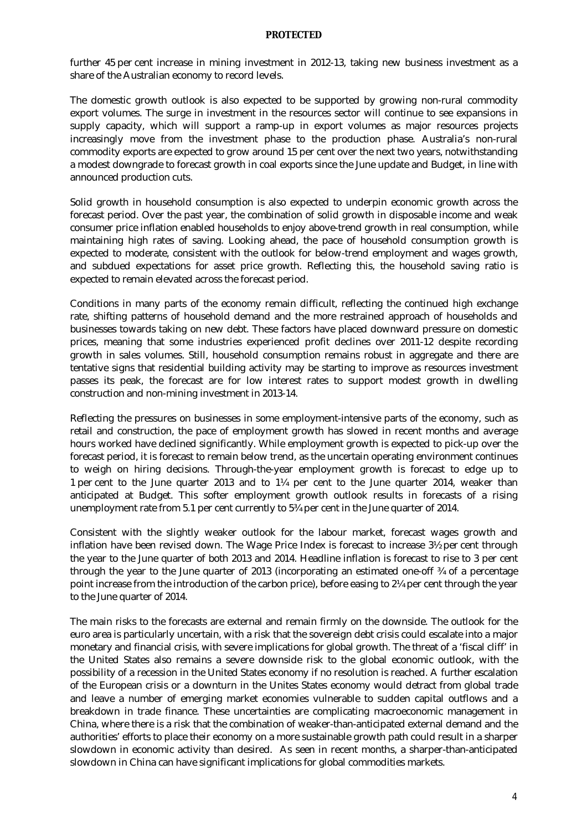further 45 per cent increase in mining investment in 2012-13, taking new business investment as a share of the Australian economy to record levels.

The domestic growth outlook is also expected to be supported by growing non-rural commodity export volumes. The surge in investment in the resources sector will continue to see expansions in supply capacity, which will support a ramp-up in export volumes as major resources projects increasingly move from the investment phase to the production phase. Australia's non-rural commodity exports are expected to grow around 15 per cent over the next two years, notwithstanding a modest downgrade to forecast growth in coal exports since the June update and Budget, in line with announced production cuts.

Solid growth in household consumption is also expected to underpin economic growth across the forecast period. Over the past year, the combination of solid growth in disposable income and weak consumer price inflation enabled households to enjoy above-trend growth in real consumption, while maintaining high rates of saving. Looking ahead, the pace of household consumption growth is expected to moderate, consistent with the outlook for below-trend employment and wages growth, and subdued expectations for asset price growth. Reflecting this, the household saving ratio is expected to remain elevated across the forecast period.

Conditions in many parts of the economy remain difficult, reflecting the continued high exchange rate, shifting patterns of household demand and the more restrained approach of households and businesses towards taking on new debt. These factors have placed downward pressure on domestic prices, meaning that some industries experienced profit declines over 2011-12 despite recording growth in sales volumes. Still, household consumption remains robust in aggregate and there are tentative signs that residential building activity may be starting to improve as resources investment passes its peak, the forecast are for low interest rates to support modest growth in dwelling construction and non-mining investment in 2013-14.

Reflecting the pressures on businesses in some employment-intensive parts of the economy, such as retail and construction, the pace of employment growth has slowed in recent months and average hours worked have declined significantly. While employment growth is expected to pick-up over the forecast period, it is forecast to remain below trend, as the uncertain operating environment continues to weigh on hiring decisions. Through-the-year employment growth is forecast to edge up to 1 per cent to the June quarter 2013 and to 1¼ per cent to the June quarter 2014, weaker than anticipated at Budget. This softer employment growth outlook results in forecasts of a rising unemployment rate from 5.1 per cent currently to 5¾ per cent in the June quarter of 2014.

Consistent with the slightly weaker outlook for the labour market, forecast wages growth and inflation have been revised down. The Wage Price Index is forecast to increase 3½ per cent through the year to the June quarter of both 2013 and 2014. Headline inflation is forecast to rise to 3 per cent through the year to the June quarter of 2013 (incorporating an estimated one-off ¾ of a percentage point increase from the introduction of the carbon price), before easing to 2¼ per cent through the year to the June quarter of 2014.

The main risks to the forecasts are external and remain firmly on the downside. The outlook for the euro area is particularly uncertain, with a risk that the sovereign debt crisis could escalate into a major monetary and financial crisis, with severe implications for global growth. The threat of a 'fiscal cliff' in the United States also remains a severe downside risk to the global economic outlook, with the possibility of a recession in the United States economy if no resolution is reached. A further escalation of the European crisis or a downturn in the Unites States economy would detract from global trade and leave a number of emerging market economies vulnerable to sudden capital outflows and a breakdown in trade finance. These uncertainties are complicating macroeconomic management in China, where there is a risk that the combination of weaker-than-anticipated external demand and the authorities' efforts to place their economy on a more sustainable growth path could result in a sharper slowdown in economic activity than desired. As seen in recent months, a sharper-than-anticipated slowdown in China can have significant implications for global commodities markets.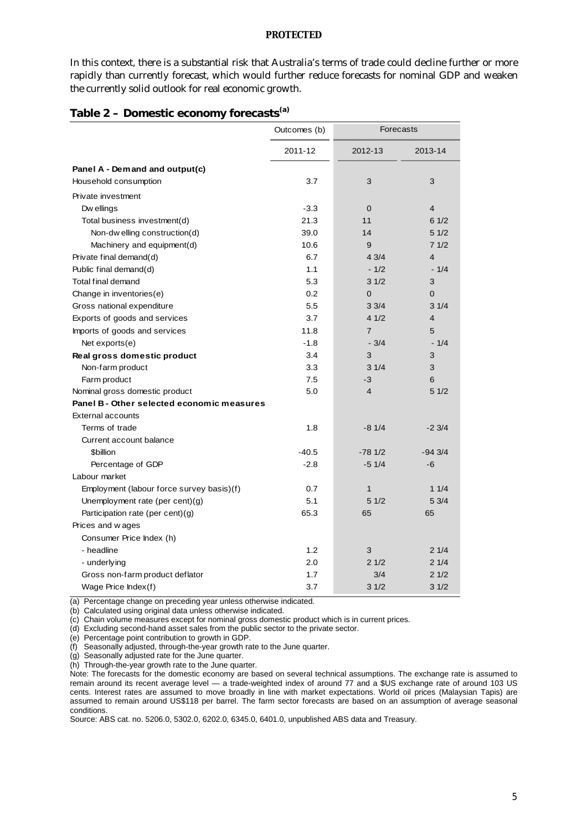In this context, there is a substantial risk that Australia's terms of trade could decline further or more rapidly than currently forecast, which would further reduce forecasts for nominal GDP and weaken the currently solid outlook for real economic growth.

# **Table 2 – Domestic economy forecasts(a)**

|                                            | Outcomes (b) | Forecasts               |                         |
|--------------------------------------------|--------------|-------------------------|-------------------------|
|                                            | 2011-12      | 2012-13                 | 2013-14                 |
| Panel A - Demand and output(c)             |              |                         |                         |
| Household consumption                      | 3.7          | 3                       | 3                       |
| Private investment                         |              |                         |                         |
| Dw ellings                                 | $-3.3$       | $\Omega$                | $\overline{\mathbf{4}}$ |
| Total business investment(d)               | 21.3         | 11                      | 61/2                    |
| Non-dw elling construction(d)              | 39.0         | 14                      | 51/2                    |
| Machinery and equipment(d)                 | 10.6         | 9                       | 71/2                    |
| Private final demand(d)                    | 6.7          | 43/4                    | 4                       |
| Public final demand(d)                     | 1.1          | $-1/2$                  | $-1/4$                  |
| Total final demand                         | 5.3          | 31/2                    | 3                       |
| Change in inventories (e)                  | 0.2          | $\Omega$                | 0                       |
| Gross national expenditure                 | 5.5          | 33/4                    | 31/4                    |
| Exports of goods and services              | 3.7          | 41/2                    | 4                       |
| Imports of goods and services              | 11.8         | $\overline{7}$          | 5                       |
| Net exports(e)                             | $-1.8$       | $-3/4$                  | $-1/4$                  |
| Real gross domestic product                | 3.4          | 3                       | 3                       |
| Non-farm product                           | 3.3          | 31/4                    | 3                       |
| Farm product                               | 7.5          | $-3$                    | 6                       |
| Nominal gross domestic product             | 5.0          | $\overline{\mathbf{4}}$ | 51/2                    |
| Panel B - Other selected economic measures |              |                         |                         |
| External accounts                          |              |                         |                         |
| Terms of trade                             | 1.8          | $-81/4$                 | $-23/4$                 |
| Current account balance                    |              |                         |                         |
| <b>Sbillion</b>                            | $-40.5$      | $-781/2$                | $-943//4$               |
| Percentage of GDP                          | $-2.8$       | $-51/4$                 | $-6$                    |
| Labour market                              |              |                         |                         |
| Employment (labour force survey basis)(f)  | 0.7          | 1                       | 11/4                    |
| Unemployment rate (per cent) $(g)$         | 5.1          | 51/2                    | 53/4                    |
| Participation rate (per cent) $(q)$        | 65.3         | 65                      | 65                      |
| Prices and wages                           |              |                         |                         |
| Consumer Price Index (h)                   |              |                         |                         |
| - headline                                 | 1.2          | 3                       | 21/4                    |
| - underlying                               | 2.0          | 21/2                    | 21/4                    |
| Gross non-farm product deflator            | 1.7          | 3/4                     | 21/2                    |
| Wage Price Index(f)                        | 3.7          | 31/2                    | 31/2                    |

(a) Percentage change on preceding year unless otherwise indicated.

(b) Calculated using original data unless otherwise indicated.

(c) Chain volume measures except for nominal gross domestic product which is in current prices.

(d) Excluding second-hand asset sales from the public sector to the private sector.

(e) Percentage point contribution to growth in GDP.

(f) Seasonally adjusted, through-the-year growth rate to the June quarter.

(g) Seasonally adjusted rate for the June quarter.

(h) Through-the-year growth rate to the June quarter.

Note: The forecasts for the domestic economy are based on several technical assumptions. The exchange rate is assumed to remain around its recent average level — a trade-weighted index of around 77 and a \$US exchange rate of around 103 US cents. Interest rates are assumed to move broadly in line with market expectations. World oil prices (Malaysian Tapis) are assumed to remain around US\$118 per barrel. The farm sector forecasts are based on an assumption of average seasonal conditions.

Source: ABS cat. no. 5206.0, 5302.0, 6202.0, 6345.0, 6401.0, unpublished ABS data and Treasury.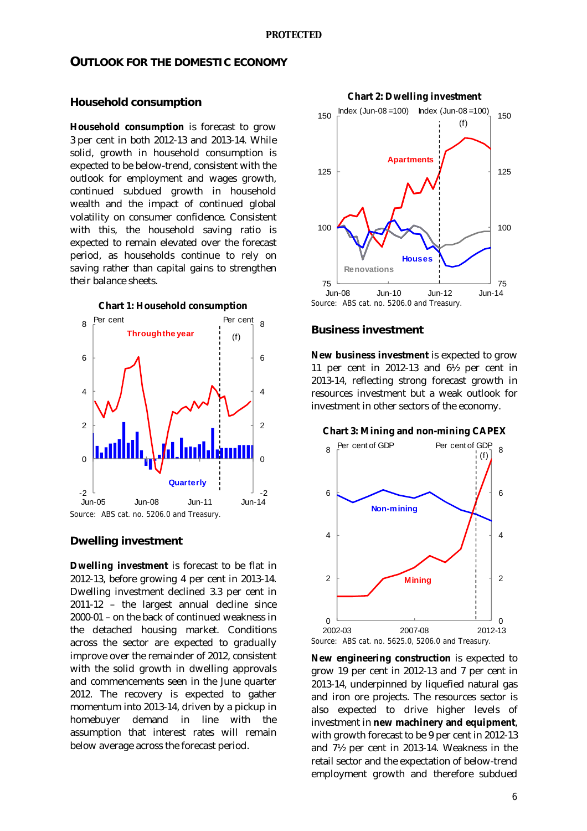## **OUTLOOK FOR THE DOMESTIC ECONOMY**

## **Household consumption**

**Household consumption** is forecast to grow 3 per cent in both 2012-13 and 2013-14. While solid, growth in household consumption is expected to be below-trend, consistent with the outlook for employment and wages growth, continued subdued growth in household wealth and the impact of continued global volatility on consumer confidence. Consistent with this, the household saving ratio is expected to remain elevated over the forecast period, as households continue to rely on saving rather than capital gains to strengthen their balance sheets.



#### **Dwelling investment**

**Dwelling investment** is forecast to be flat in 2012-13, before growing 4 per cent in 2013-14. Dwelling investment declined 3.3 per cent in 2011-12 – the largest annual decline since 2000-01 – on the back of continued weakness in the detached housing market. Conditions across the sector are expected to gradually improve over the remainder of 2012, consistent with the solid growth in dwelling approvals and commencements seen in the June quarter 2012. The recovery is expected to gather momentum into 2013-14, driven by a pickup in homebuyer demand in line with the assumption that interest rates will remain below average across the forecast period.



#### **Business investment**

**New business investment** is expected to grow 11 per cent in 2012-13 and 6½ per cent in 2013-14, reflecting strong forecast growth in resources investment but a weak outlook for investment in other sectors of the economy.

#### **Chart 3: Mining and non-mining CAPEX**



**New engineering construction** is expected to grow 19 per cent in 2012-13 and 7 per cent in 2013-14, underpinned by liquefied natural gas and iron ore projects. The resources sector is also expected to drive higher levels of investment in **new machinery and equipment**, with growth forecast to be 9 per cent in 2012-13 and 7½ per cent in 2013-14. Weakness in the retail sector and the expectation of below-trend employment growth and therefore subdued

**Chart 2: Dwelling investment**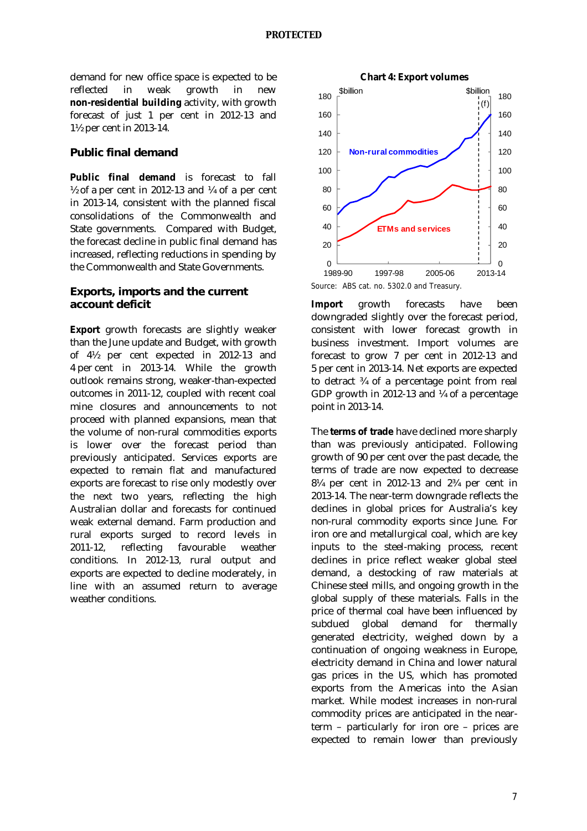demand for new office space is expected to be reflected in weak growth in new **non-residential building** activity, with growth forecast of just 1 per cent in 2012-13 and 1½ per cent in 2013-14.

#### **Public final demand**

**Public final demand** is forecast to fall  $\frac{1}{2}$  of a per cent in 2012-13 and  $\frac{1}{4}$  of a per cent in 2013-14, consistent with the planned fiscal consolidations of the Commonwealth and State governments. Compared with Budget, the forecast decline in public final demand has increased, reflecting reductions in spending by the Commonwealth and State Governments.

# **Exports, imports and the current account deficit**

**Export** growth forecasts are slightly weaker than the June update and Budget, with growth of 4½ per cent expected in 2012-13 and 4 per cent in 2013-14. While the growth outlook remains strong, weaker-than-expected outcomes in 2011-12, coupled with recent coal mine closures and announcements to not proceed with planned expansions, mean that the volume of non-rural commodities exports is lower over the forecast period than previously anticipated. Services exports are expected to remain flat and manufactured exports are forecast to rise only modestly over the next two years, reflecting the high Australian dollar and forecasts for continued weak external demand. Farm production and rural exports surged to record levels in 2011-12, reflecting favourable weather conditions. In 2012-13, rural output and exports are expected to decline moderately, in line with an assumed return to average weather conditions.



**Import** growth forecasts have been downgraded slightly over the forecast period, consistent with lower forecast growth in business investment. Import volumes are forecast to grow 7 per cent in 2012-13 and 5 per cent in 2013-14. Net exports are expected to detract ¾ of a percentage point from real GDP growth in 2012-13 and ¼ of a percentage point in 2013-14.

The **terms of trade** have declined more sharply than was previously anticipated. Following growth of 90 per cent over the past decade, the terms of trade are now expected to decrease 8¼ per cent in 2012-13 and 2¾ per cent in 2013-14. The near-term downgrade reflects the declines in global prices for Australia's key non-rural commodity exports since June. For iron ore and metallurgical coal, which are key inputs to the steel-making process, recent declines in price reflect weaker global steel demand, a destocking of raw materials at Chinese steel mills, and ongoing growth in the global supply of these materials. Falls in the price of thermal coal have been influenced by subdued global demand for thermally generated electricity, weighed down by a continuation of ongoing weakness in Europe, electricity demand in China and lower natural gas prices in the US, which has promoted exports from the Americas into the Asian market. While modest increases in non-rural commodity prices are anticipated in the nearterm – particularly for iron ore – prices are expected to remain lower than previously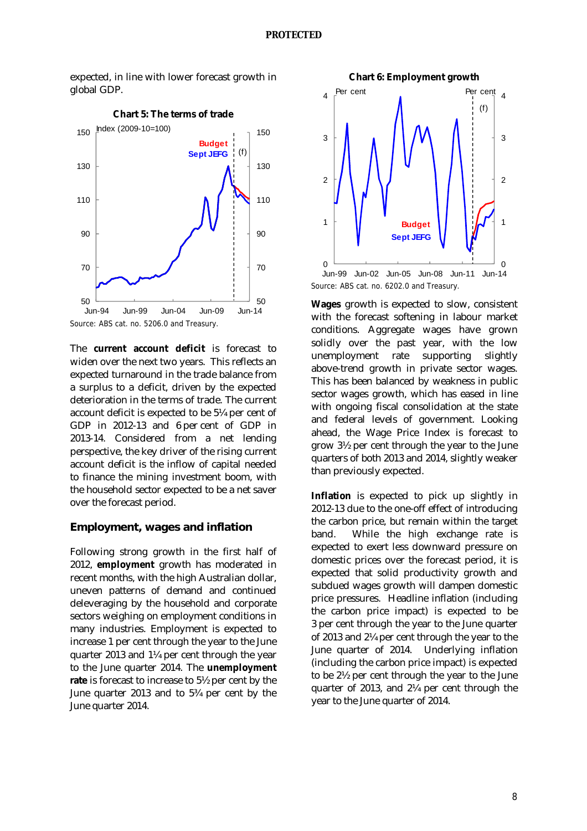

expected, in line with lower forecast growth in global GDP.

The **current account deficit** is forecast to widen over the next two years. This reflects an expected turnaround in the trade balance from a surplus to a deficit, driven by the expected deterioration in the terms of trade. The current account deficit is expected to be 5¼ per cent of GDP in 2012-13 and 6 per cent of GDP in 2013-14. Considered from a net lending perspective, the key driver of the rising current account deficit is the inflow of capital needed to finance the mining investment boom, with the household sector expected to be a net saver over the forecast period.

#### **Employment, wages and inflation**

Following strong growth in the first half of 2012, **employment** growth has moderated in recent months, with the high Australian dollar, uneven patterns of demand and continued deleveraging by the household and corporate sectors weighing on employment conditions in many industries. Employment is expected to increase 1 per cent through the year to the June quarter 2013 and 1¼ per cent through the year to the June quarter 2014. The **unemployment rate** is forecast to increase to 5½ per cent by the June quarter 2013 and to 5¾ per cent by the June quarter 2014.



**Wages** growth is expected to slow, consistent with the forecast softening in labour market conditions. Aggregate wages have grown solidly over the past year, with the low unemployment rate supporting slightly above-trend growth in private sector wages. This has been balanced by weakness in public sector wages growth, which has eased in line with ongoing fiscal consolidation at the state and federal levels of government. Looking ahead, the Wage Price Index is forecast to grow 3½ per cent through the year to the June quarters of both 2013 and 2014, slightly weaker than previously expected.

**Inflation** is expected to pick up slightly in 2012-13 due to the one-off effect of introducing the carbon price, but remain within the target band. While the high exchange rate is expected to exert less downward pressure on domestic prices over the forecast period, it is expected that solid productivity growth and subdued wages growth will dampen domestic price pressures. Headline inflation (including the carbon price impact) is expected to be 3 per cent through the year to the June quarter of 2013 and 2¼ per cent through the year to the June quarter of 2014. Underlying inflation (including the carbon price impact) is expected to be 2½ per cent through the year to the June quarter of 2013, and 2¼ per cent through the year to the June quarter of 2014.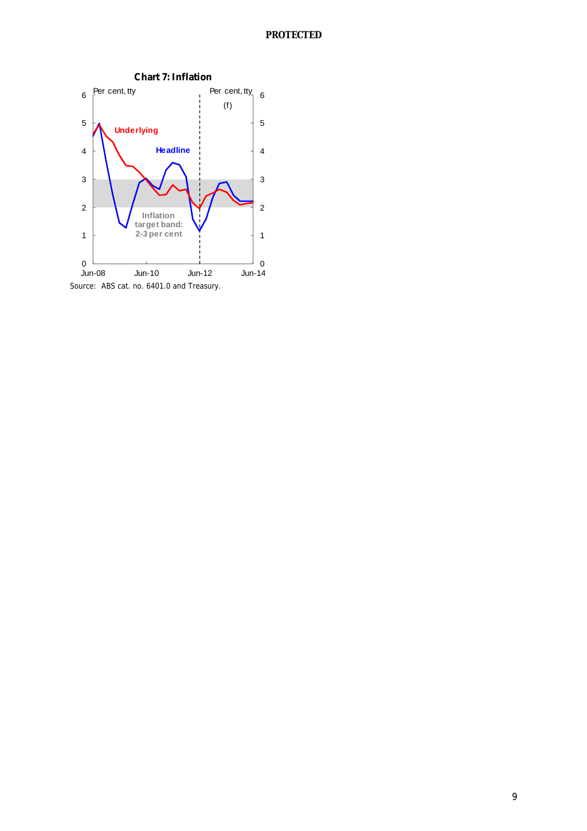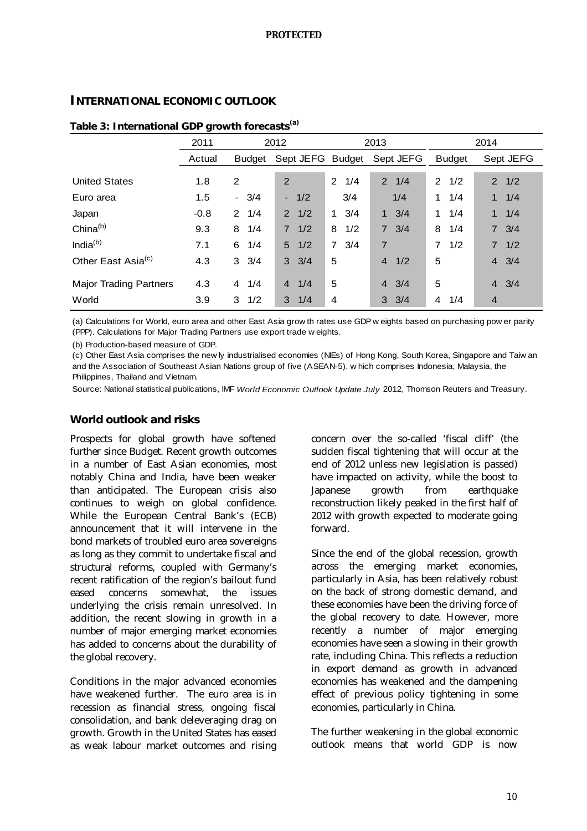# **INTERNATIONAL ECONOMIC OUTLOOK**

## **Table 3: International GDP growth forecasts(a)**

|                                | 2011   | 2012            |                       | 2013                  |                       | 2014                 |                       |
|--------------------------------|--------|-----------------|-----------------------|-----------------------|-----------------------|----------------------|-----------------------|
|                                | Actual | <b>Budget</b>   | Sept JEFG Budget      |                       | Sept JEFG             | <b>Budget</b>        | Sept JEFG             |
|                                |        |                 |                       |                       |                       |                      |                       |
| <b>United States</b>           | 1.8    | 2               | 2                     | $\mathcal{P}$<br>1/4  | $2 \frac{1}{4}$       | $\mathcal{P}$<br>1/2 | $2 \frac{1}{2}$       |
| Euro area                      | 1.5    | $-3/4$          | $-1/2$                | 3/4                   | 1/4                   | 1/4<br>1             | 1/4<br>$\mathbf 1$    |
| Japan                          | $-0.8$ | $2 \frac{1}{4}$ | $2 \frac{1}{2}$       | 3/4<br>$\mathbf 1$    | 3/4<br>$\mathbf{1}$   | 1/4<br>1             | 1/4<br>$\mathbf 1$    |
| China <sup>(b)</sup>           | 9.3    | 8<br>1/4        | $\overline{7}$<br>1/2 | 1/2<br>8              | 3/4<br>$7^{\circ}$    | 8<br>1/4             | $7 \frac{3}{4}$       |
| Indi $a^{(b)}$                 | 7.1    | 6<br>1/4        | $5 \frac{1}{2}$       | 3/4<br>$\overline{7}$ | $\overline{7}$        | 7<br>1/2             | 1/2<br>$\overline{7}$ |
| Other East Asia <sup>(c)</sup> | 4.3    | $3 \frac{3}{4}$ | $3 \frac{3}{4}$       | 5                     | 1/2<br>$\overline{4}$ | 5                    | $4 \t3/4$             |
| <b>Major Trading Partners</b>  | 4.3    | 4<br>1/4        | $\overline{4}$<br>1/4 | 5                     | 3/4<br>$\overline{4}$ | 5                    | $4 \t3/4$             |
| World                          | 3.9    | 3<br>1/2        | 3<br>1/4              | 4                     | 3<br>3/4              | 1/4<br>4             | $\overline{4}$        |

(a) Calculations for World, euro area and other East Asia grow th rates use GDP w eights based on purchasing pow er parity (PPP). Calculations for Major Trading Partners use export trade w eights.

(b) Production-based measure of GDP.

(c) Other East Asia comprises the new ly industrialised economies (NIEs) of Hong Kong, South Korea, Singapore and Taiw an and the Association of Southeast Asian Nations group of five (ASEAN-5), w hich comprises Indonesia, Malaysia, the Philippines, Thailand and Vietnam.

Source: National statistical publications, IMF *World Economic Outlook Update July* 2012, Thomson Reuters and Treasury.

# **World outlook and risks**

Prospects for global growth have softened further since Budget. Recent growth outcomes in a number of East Asian economies, most notably China and India, have been weaker than anticipated. The European crisis also continues to weigh on global confidence. While the European Central Bank's (ECB) announcement that it will intervene in the bond markets of troubled euro area sovereigns as long as they commit to undertake fiscal and structural reforms, coupled with Germany's recent ratification of the region's bailout fund eased concerns somewhat, the issues underlying the crisis remain unresolved. In addition, the recent slowing in growth in a number of major emerging market economies has added to concerns about the durability of the global recovery.

Conditions in the major advanced economies have weakened further. The euro area is in recession as financial stress, ongoing fiscal consolidation, and bank deleveraging drag on growth. Growth in the United States has eased as weak labour market outcomes and rising concern over the so-called 'fiscal cliff' (the sudden fiscal tightening that will occur at the end of 2012 unless new legislation is passed) have impacted on activity, while the boost to Japanese growth from earthquake reconstruction likely peaked in the first half of 2012 with growth expected to moderate going forward.

Since the end of the global recession, growth across the emerging market economies, particularly in Asia, has been relatively robust on the back of strong domestic demand, and these economies have been the driving force of the global recovery to date. However, more recently a number of major emerging economies have seen a slowing in their growth rate, including China. This reflects a reduction in export demand as growth in advanced economies has weakened and the dampening effect of previous policy tightening in some economies, particularly in China.

The further weakening in the global economic outlook means that world GDP is now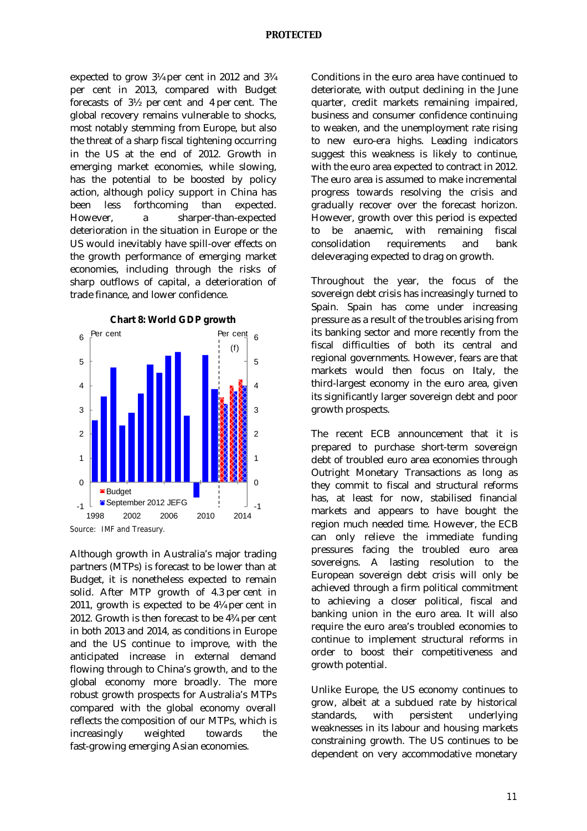expected to grow 3¼ per cent in 2012 and 3¾ per cent in 2013, compared with Budget forecasts of 3½ per cent and 4 per cent. The global recovery remains vulnerable to shocks, most notably stemming from Europe, but also the threat of a sharp fiscal tightening occurring in the US at the end of 2012. Growth in emerging market economies, while slowing, has the potential to be boosted by policy action, although policy support in China has been less forthcoming than expected. However, a sharper-than-expected deterioration in the situation in Europe or the US would inevitably have spill-over effects on the growth performance of emerging market economies, including through the risks of sharp outflows of capital, a deterioration of trade finance, and lower confidence.



Although growth in Australia's major trading partners (MTPs) is forecast to be lower than at Budget, it is nonetheless expected to remain solid. After MTP growth of 4.3 per cent in 2011, growth is expected to be 4¼ per cent in 2012. Growth is then forecast to be 4¾ per cent in both 2013 and 2014, as conditions in Europe and the US continue to improve, with the anticipated increase in external demand flowing through to China's growth, and to the global economy more broadly. The more robust growth prospects for Australia's MTPs compared with the global economy overall reflects the composition of our MTPs, which is increasingly weighted towards the fast-growing emerging Asian economies.

Conditions in the euro area have continued to deteriorate, with output declining in the June quarter, credit markets remaining impaired, business and consumer confidence continuing to weaken, and the unemployment rate rising to new euro-era highs. Leading indicators suggest this weakness is likely to continue, with the euro area expected to contract in 2012. The euro area is assumed to make incremental progress towards resolving the crisis and gradually recover over the forecast horizon. However, growth over this period is expected to be anaemic, with remaining fiscal consolidation requirements and bank deleveraging expected to drag on growth.

Throughout the year, the focus of the sovereign debt crisis has increasingly turned to Spain. Spain has come under increasing pressure as a result of the troubles arising from its banking sector and more recently from the fiscal difficulties of both its central and regional governments. However, fears are that markets would then focus on Italy, the third-largest economy in the euro area, given its significantly larger sovereign debt and poor growth prospects.

The recent ECB announcement that it is prepared to purchase short-term sovereign debt of troubled euro area economies through Outright Monetary Transactions as long as they commit to fiscal and structural reforms has, at least for now, stabilised financial markets and appears to have bought the region much needed time. However, the ECB can only relieve the immediate funding pressures facing the troubled euro area sovereigns. A lasting resolution to the European sovereign debt crisis will only be achieved through a firm political commitment to achieving a closer political, fiscal and banking union in the euro area. It will also require the euro area's troubled economies to continue to implement structural reforms in order to boost their competitiveness and growth potential.

Unlike Europe, the US economy continues to grow, albeit at a subdued rate by historical standards, with persistent underlying weaknesses in its labour and housing markets constraining growth. The US continues to be dependent on very accommodative monetary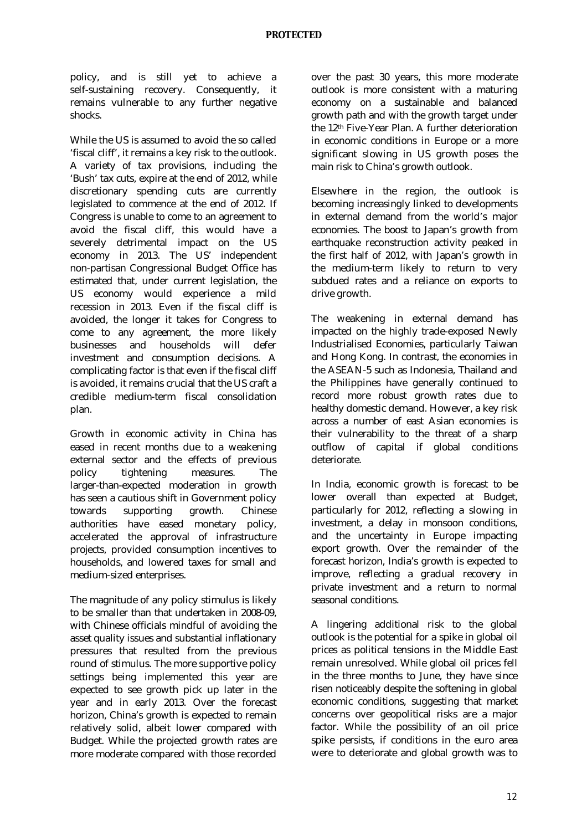policy, and is still yet to achieve a self-sustaining recovery. Consequently, it remains vulnerable to any further negative shocks.

While the US is assumed to avoid the so called 'fiscal cliff', it remains a key risk to the outlook. A variety of tax provisions, including the 'Bush' tax cuts, expire at the end of 2012, while discretionary spending cuts are currently legislated to commence at the end of 2012. If Congress is unable to come to an agreement to avoid the fiscal cliff, this would have a severely detrimental impact on the US economy in 2013. The US' independent non-partisan Congressional Budget Office has estimated that, under current legislation, the US economy would experience a mild recession in 2013. Even if the fiscal cliff is avoided, the longer it takes for Congress to come to any agreement, the more likely businesses and households will defer investment and consumption decisions. A complicating factor is that even if the fiscal cliff is avoided, it remains crucial that the US craft a credible medium-term fiscal consolidation plan.

Growth in economic activity in China has eased in recent months due to a weakening external sector and the effects of previous policy tightening measures. The larger-than-expected moderation in growth has seen a cautious shift in Government policy towards supporting growth. Chinese authorities have eased monetary policy, accelerated the approval of infrastructure projects, provided consumption incentives to households, and lowered taxes for small and medium-sized enterprises.

The magnitude of any policy stimulus is likely to be smaller than that undertaken in 2008-09, with Chinese officials mindful of avoiding the asset quality issues and substantial inflationary pressures that resulted from the previous round of stimulus. The more supportive policy settings being implemented this year are expected to see growth pick up later in the year and in early 2013. Over the forecast horizon, China's growth is expected to remain relatively solid, albeit lower compared with Budget. While the projected growth rates are more moderate compared with those recorded over the past 30 years, this more moderate outlook is more consistent with a maturing economy on a sustainable and balanced growth path and with the growth target under the 12<sup>th</sup> Five-Year Plan. A further deterioration in economic conditions in Europe or a more significant slowing in US growth poses the main risk to China's growth outlook.

Elsewhere in the region, the outlook is becoming increasingly linked to developments in external demand from the world's major economies. The boost to Japan's growth from earthquake reconstruction activity peaked in the first half of 2012, with Japan's growth in the medium-term likely to return to very subdued rates and a reliance on exports to drive growth.

The weakening in external demand has impacted on the highly trade-exposed Newly Industrialised Economies, particularly Taiwan and Hong Kong. In contrast, the economies in the ASEAN-5 such as Indonesia, Thailand and the Philippines have generally continued to record more robust growth rates due to healthy domestic demand. However, a key risk across a number of east Asian economies is their vulnerability to the threat of a sharp outflow of capital if global conditions deteriorate.

In India, economic growth is forecast to be lower overall than expected at Budget, particularly for 2012, reflecting a slowing in investment, a delay in monsoon conditions, and the uncertainty in Europe impacting export growth. Over the remainder of the forecast horizon, India's growth is expected to improve, reflecting a gradual recovery in private investment and a return to normal seasonal conditions.

A lingering additional risk to the global outlook is the potential for a spike in global oil prices as political tensions in the Middle East remain unresolved. While global oil prices fell in the three months to June, they have since risen noticeably despite the softening in global economic conditions, suggesting that market concerns over geopolitical risks are a major factor. While the possibility of an oil price spike persists, if conditions in the euro area were to deteriorate and global growth was to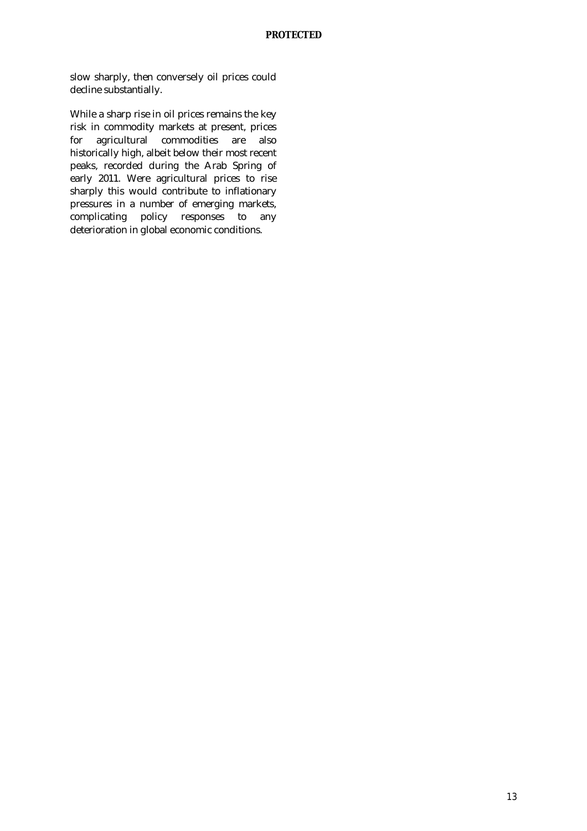slow sharply, then conversely oil prices could decline substantially.

While a sharp rise in oil prices remains the key risk in commodity markets at present, prices for agricultural commodities are also historically high, albeit below their most recent peaks, recorded during the Arab Spring of early 2011. Were agricultural prices to rise sharply this would contribute to inflationary pressures in a number of emerging markets, complicating policy responses to any deterioration in global economic conditions.